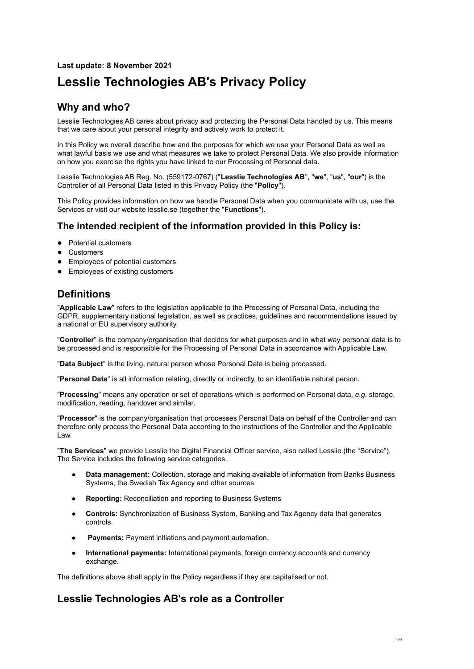# **Last update: 8 November 2021 Lesslie Technologies AB's Privacy Policy**

# **Why and who?**

Lesslie Technologies AB cares about privacy and protecting the Personal Data handled by us. This means that we care about your personal integrity and actively work to protect it.

In this Policy we overall describe how and the purposes for which we use your Personal Data as well as what lawful basis we use and what measures we take to protect Personal Data. We also provide information on how you exercise the rights you have linked to our Processing of Personal data.

Lesslie Technologies AB Reg. No. (559172-0767) ("**Lesslie Technologies AB**", "**we**", "**us**", "**our**") is the Controller of all Personal Data listed in this Privacy Policy (the "**Policy**").

This Policy provides information on how we handle Personal Data when you communicate with us, use the Services or visit our website lesslie.se (together the "**Functions**").

### **The intended recipient of the information provided in this Policy is:**

- Potential customers
- Customers
- Employees of potential customers
- Employees of existing customers

## **Definitions**

"**Applicable Law**" refers to the legislation applicable to the Processing of Personal Data, including the GDPR, supplementary national legislation, as well as practices, guidelines and recommendations issued by a national or EU supervisory authority.

"**Controller**" is the company/organisation that decides for what purposes and in what way personal data is to be processed and is responsible for the Processing of Personal Data in accordance with Applicable Law.

"**Data Subject**" is the living, natural person whose Personal Data is being processed.

"**Personal Data**" is all information relating, directly or indirectly, to an identifiable natural person.

"**Processing**" means any operation or set of operations which is performed on Personal data, *e.g.* storage, modification, reading, handover and similar.

"**Processor**" is the company/organisation that processes Personal Data on behalf of the Controller and can therefore only process the Personal Data according to the instructions of the Controller and the Applicable Law.

"**The Services**" we provide Lesslie the Digital Financial Officer service, also called Lesslie (the "Service"). The Service includes the following service categories.

- **● Data management:** Collection, storage and making available of information from Banks Business Systems, the Swedish Tax Agency and other sources.
- **● Reporting:** Reconciliation and reporting to Business Systems
- **● Controls:** Synchronization of Business System, Banking and Tax Agency data that generates controls.
- **Payments: Payment initiations and payment automation.**
- **● International payments:** International payments, foreign currency accounts and currency exchange.

The definitions above shall apply in the Policy regardless if they are capitalised or not.

# **Lesslie Technologies AB's role as a Controller**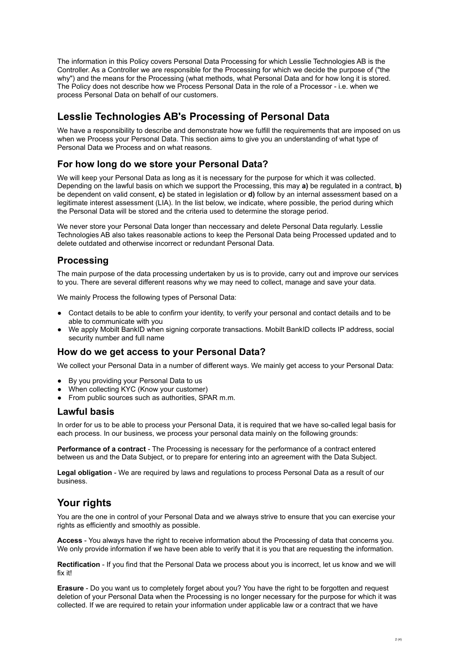The information in this Policy covers Personal Data Processing for which Lesslie Technologies AB is the Controller. As a Controller we are responsible for the Processing for which we decide the purpose of ("the why") and the means for the Processing (what methods, what Personal Data and for how long it is stored. The Policy does not describe how we Process Personal Data in the role of a Processor - i.e. when we process Personal Data on behalf of our customers.

## **Lesslie Technologies AB's Processing of Personal Data**

We have a responsibility to describe and demonstrate how we fulfill the requirements that are imposed on us when we Process your Personal Data. This section aims to give you an understanding of what type of Personal Data we Process and on what reasons.

### **For how long do we store your Personal Data?**

We will keep your Personal Data as long as it is necessary for the purpose for which it was collected. Depending on the lawful basis on which we support the Processing, this may **a)** be regulated in a contract, **b)** be dependent on valid consent, **c)** be stated in legislation or **d)** follow by an internal assessment based on a legitimate interest assessment (LIA). In the list below, we indicate, where possible, the period during which the Personal Data will be stored and the criteria used to determine the storage period.

We never store your Personal Data longer than neccessary and delete Personal Data regularly. Lesslie Technologies AB also takes reasonable actions to keep the Personal Data being Processed updated and to delete outdated and otherwise incorrect or redundant Personal Data.

### **Processing**

The main purpose of the data processing undertaken by us is to provide, carry out and improve our services to you. There are several different reasons why we may need to collect, manage and save your data.

We mainly Process the following types of Personal Data:

- Contact details to be able to confirm your identity, to verify your personal and contact details and to be able to communicate with you
- We apply Mobilt BankID when signing corporate transactions. Mobilt BankID collects IP address, social security number and full name

### **How do we get access to your Personal Data?**

We collect your Personal Data in a number of different ways. We mainly get access to your Personal Data:

- By you providing your Personal Data to us
- When collecting KYC (Know your customer)
- From public sources such as authorities, SPAR m.m.

### **Lawful basis**

In order for us to be able to process your Personal Data, it is required that we have so-called legal basis for each process. In our business, we process your personal data mainly on the following grounds:

**Performance of a contract** - The Processing is necessary for the performance of a contract entered between us and the Data Subject, or to prepare for entering into an agreement with the Data Subject.

**Legal obligation** - We are required by laws and regulations to process Personal Data as a result of our business.

### **Your rights**

You are the one in control of your Personal Data and we always strive to ensure that you can exercise your rights as efficiently and smoothly as possible.

**Access** - You always have the right to receive information about the Processing of data that concerns you. We only provide information if we have been able to verify that it is you that are requesting the information.

**Rectification** - If you find that the Personal Data we process about you is incorrect, let us know and we will fix it!

**Erasure** - Do you want us to completely forget about you? You have the right to be forgotten and request deletion of your Personal Data when the Processing is no longer necessary for the purpose for which it was collected. If we are required to retain your information under applicable law or a contract that we have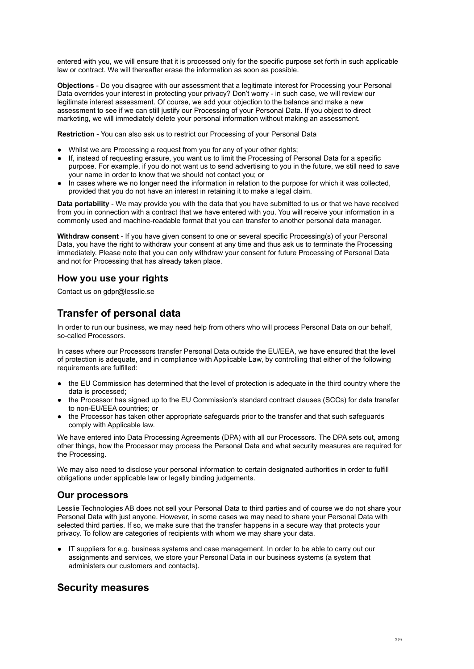entered with you, we will ensure that it is processed only for the specific purpose set forth in such applicable law or contract. We will thereafter erase the information as soon as possible.

**Objections** - Do you disagree with our assessment that a legitimate interest for Processing your Personal Data overrides your interest in protecting your privacy? Don't worry - in such case, we will review our legitimate interest assessment. Of course, we add your objection to the balance and make a new assessment to see if we can still justify our Processing of your Personal Data. If you object to direct marketing, we will immediately delete your personal information without making an assessment.

**Restriction** - You can also ask us to restrict our Processing of your Personal Data

- Whilst we are Processing a request from you for any of your other rights;
- If, instead of requesting erasure, you want us to limit the Processing of Personal Data for a specific purpose. For example, if you do not want us to send advertising to you in the future, we still need to save your name in order to know that we should not contact you; or
- In cases where we no longer need the information in relation to the purpose for which it was collected, provided that you do not have an interest in retaining it to make a legal claim.

**Data portability** - We may provide you with the data that you have submitted to us or that we have received from you in connection with a contract that we have entered with you. You will receive your information in a commonly used and machine-readable format that you can transfer to another personal data manager.

**Withdraw consent** - If you have given consent to one or several specific Processing(s) of your Personal Data, you have the right to withdraw your consent at any time and thus ask us to terminate the Processing immediately. Please note that you can only withdraw your consent for future Processing of Personal Data and not for Processing that has already taken place.

### **How you use your rights**

Contact us on gdpr@lesslie.se

## **Transfer of personal data**

In order to run our business, we may need help from others who will process Personal Data on our behalf, so-called Processors.

In cases where our Processors transfer Personal Data outside the EU/EEA, we have ensured that the level of protection is adequate, and in compliance with Applicable Law, by controlling that either of the following requirements are fulfilled:

- the EU Commission has determined that the level of protection is adequate in the third country where the data is processed;
- the Processor has signed up to the EU Commission's standard contract clauses (SCCs) for data transfer to non-EU/EEA countries; or
- the Processor has taken other appropriate safeguards prior to the transfer and that such safeguards comply with Applicable law.

We have entered into Data Processing Agreements (DPA) with all our Processors. The DPA sets out, among other things, how the Processor may process the Personal Data and what security measures are required for the Processing.

We may also need to disclose your personal information to certain designated authorities in order to fulfill obligations under applicable law or legally binding judgements.

### **Our processors**

Lesslie Technologies AB does not sell your Personal Data to third parties and of course we do not share your Personal Data with just anyone. However, in some cases we may need to share your Personal Data with selected third parties. If so, we make sure that the transfer happens in a secure way that protects your privacy. To follow are categories of recipients with whom we may share your data.

IT suppliers for e.g. business systems and case management. In order to be able to carry out our assignments and services, we store your Personal Data in our business systems (a system that administers our customers and contacts).

### **Security measures**